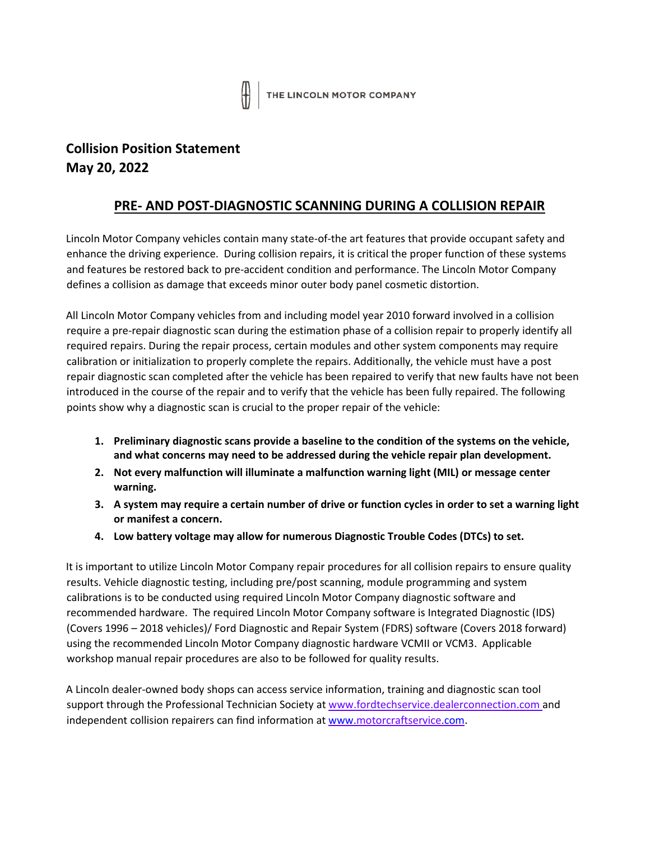

## **Collision Position Statement May 20, 2022**

## **PRE- AND POST-DIAGNOSTIC SCANNING DURING A COLLISION REPAIR**

Lincoln Motor Company vehicles contain many state-of-the art features that provide occupant safety and enhance the driving experience. During collision repairs, it is critical the proper function of these systems and features be restored back to pre-accident condition and performance. The Lincoln Motor Company defines a collision as damage that exceeds minor outer body panel cosmetic distortion.

All Lincoln Motor Company vehicles from and including model year 2010 forward involved in a collision require a pre-repair diagnostic scan during the estimation phase of a collision repair to properly identify all required repairs. During the repair process, certain modules and other system components may require calibration or initialization to properly complete the repairs. Additionally, the vehicle must have a post repair diagnostic scan completed after the vehicle has been repaired to verify that new faults have not been introduced in the course of the repair and to verify that the vehicle has been fully repaired. The following points show why a diagnostic scan is crucial to the proper repair of the vehicle:

- **1. Preliminary diagnostic scans provide a baseline to the condition of the systems on the vehicle, and what concerns may need to be addressed during the vehicle repair plan development.**
- **2. Not every malfunction will illuminate a malfunction warning light (MIL) or message center warning.**
- **3. A system may require a certain number of drive or function cycles in order to set a warning light or manifest a concern.**
- **4. Low battery voltage may allow for numerous Diagnostic Trouble Codes (DTCs) to set.**

It is important to utilize Lincoln Motor Company repair procedures for all collision repairs to ensure quality results. Vehicle diagnostic testing, including pre/post scanning, module programming and system calibrations is to be conducted using required Lincoln Motor Company diagnostic software and recommended hardware. The required Lincoln Motor Company software is Integrated Diagnostic (IDS) (Covers 1996 – 2018 vehicles)/ Ford Diagnostic and Repair System (FDRS) software (Covers 2018 forward) using the recommended Lincoln Motor Company diagnostic hardware VCMII or VCM3. Applicable workshop manual repair procedures are also to be followed for quality results.

A Lincoln dealer-owned body shops can access service information, training and diagnostic scan tool support through the Professional Technician Society at www.fordtechservice.dealerconnection.com and independent collision repairers can find information at www.motorcraftservice.com.